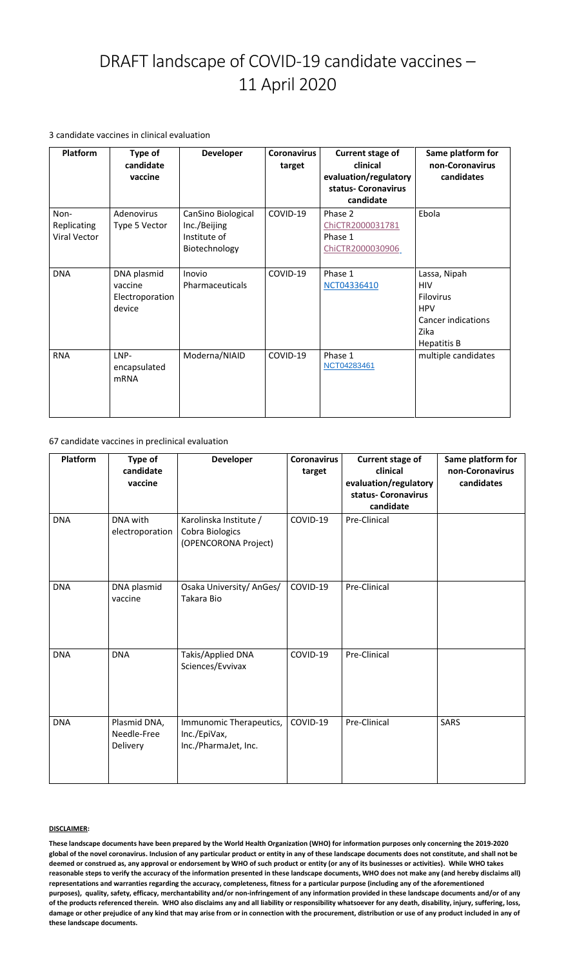**These landscape documents have been prepared by the World Health Organization (WHO) for information purposes only concerning the 2019-2020 global of the novel coronavirus. Inclusion of any particular product or entity in any of these landscape documents does not constitute, and shall not be deemed or construed as, any approval or endorsement by WHO of such product or entity (or any of its businesses or activities). While WHO takes reasonable steps to verify the accuracy of the information presented in these landscape documents, WHO does not make any (and hereby disclaims all) representations and warranties regarding the accuracy, completeness, fitness for a particular purpose (including any of the aforementioned purposes), quality, safety, efficacy, merchantability and/or non-infringement of any information provided in these landscape documents and/or of any of the products referenced therein. WHO also disclaims any and all liability or responsibility whatsoever for any death, disability, injury, suffering, loss, damage or other prejudice of any kind that may arise from or in connection with the procurement, distribution or use of any product included in any of these landscape documents.** 

# DRAFT landscape of COVID-19 candidate vaccines – 11 April 2020

3 candidate vaccines in clinical evaluation

67 candidate vaccines in preclinical evaluation

| <b>Platform</b>                                   | Type of<br>candidate<br>vaccine                     | <b>Developer</b>                                                    | <b>Coronavirus</b><br>target | <b>Current stage of</b><br>clinical<br>evaluation/regulatory<br>status- Coronavirus<br>candidate | Same platform for<br>non-Coronavirus<br>candidates                                                               |
|---------------------------------------------------|-----------------------------------------------------|---------------------------------------------------------------------|------------------------------|--------------------------------------------------------------------------------------------------|------------------------------------------------------------------------------------------------------------------|
| Non-<br><b>Replicating</b><br><b>Viral Vector</b> | Adenovirus<br>Type 5 Vector                         | CanSino Biological<br>Inc./Beijing<br>Institute of<br>Biotechnology | COVID-19                     | Phase 2<br>ChiCTR2000031781<br>Phase 1<br>ChiCTR2000030906                                       | Ebola                                                                                                            |
| <b>DNA</b>                                        | DNA plasmid<br>vaccine<br>Electroporation<br>device | Inovio<br>Pharmaceuticals                                           | COVID-19                     | Phase 1<br>NCT04336410                                                                           | Lassa, Nipah<br><b>HIV</b><br><b>Filovirus</b><br><b>HPV</b><br><b>Cancer indications</b><br>Zika<br>Hepatitis B |
| <b>RNA</b>                                        | LNP-<br>encapsulated<br><b>mRNA</b>                 | Moderna/NIAID                                                       | COVID-19                     | Phase 1<br>NCT04283461                                                                           | multiple candidates                                                                                              |

| Platform   | <b>Type of</b><br>candidate<br>vaccine  | <b>Developer</b>                                                  | <b>Coronavirus</b><br>target | <b>Current stage of</b><br>clinical<br>evaluation/regulatory<br>status- Coronavirus<br>candidate | Same platform for<br>non-Coronavirus<br>candidates |
|------------|-----------------------------------------|-------------------------------------------------------------------|------------------------------|--------------------------------------------------------------------------------------------------|----------------------------------------------------|
| <b>DNA</b> | DNA with<br>electroporation             | Karolinska Institute /<br>Cobra Biologics<br>(OPENCORONA Project) | COVID-19                     | Pre-Clinical                                                                                     |                                                    |
| <b>DNA</b> | DNA plasmid<br>vaccine                  | Osaka University/ AnGes/<br><b>Takara Bio</b>                     | COVID-19                     | Pre-Clinical                                                                                     |                                                    |
| <b>DNA</b> | <b>DNA</b>                              | <b>Takis/Applied DNA</b><br>Sciences/Evvivax                      | COVID-19                     | Pre-Clinical                                                                                     |                                                    |
| <b>DNA</b> | Plasmid DNA,<br>Needle-Free<br>Delivery | Immunomic Therapeutics,<br>Inc./EpiVax,<br>Inc./PharmaJet, Inc.   | COVID-19                     | Pre-Clinical                                                                                     | <b>SARS</b>                                        |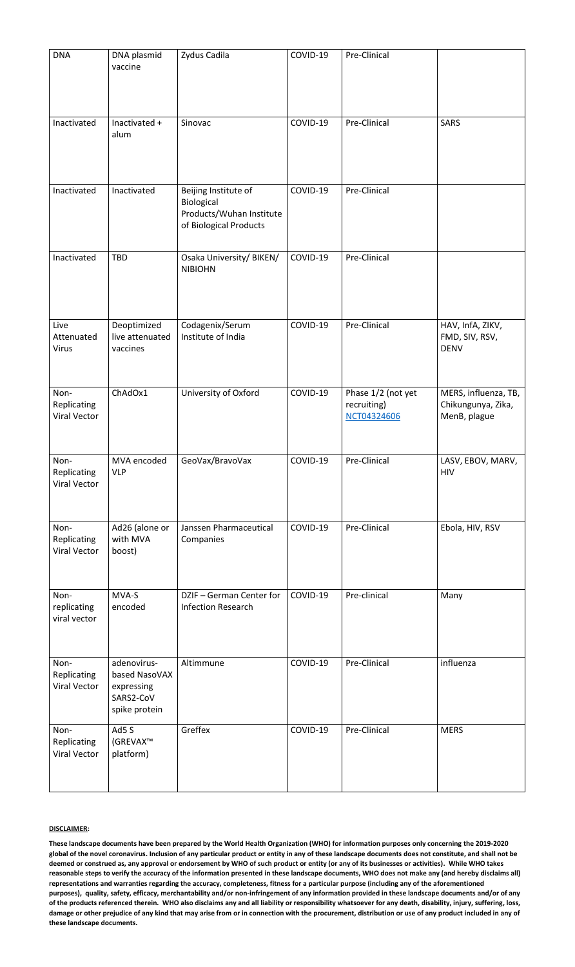| <b>DNA</b>                                 | DNA plasmid<br>vaccine                                                   | Zydus Cadila                                                                             | COVID-19 | Pre-Clinical                                     |                                                            |
|--------------------------------------------|--------------------------------------------------------------------------|------------------------------------------------------------------------------------------|----------|--------------------------------------------------|------------------------------------------------------------|
| Inactivated                                | Inactivated +<br>alum                                                    | Sinovac                                                                                  | COVID-19 | Pre-Clinical                                     | <b>SARS</b>                                                |
| Inactivated                                | Inactivated                                                              | Beijing Institute of<br>Biological<br>Products/Wuhan Institute<br>of Biological Products | COVID-19 | Pre-Clinical                                     |                                                            |
| Inactivated                                | <b>TBD</b>                                                               | Osaka University/ BIKEN/<br><b>NIBIOHN</b>                                               | COVID-19 | Pre-Clinical                                     |                                                            |
| Live<br>Attenuated<br><b>Virus</b>         | Deoptimized<br>live attenuated<br>vaccines                               | Codagenix/Serum<br>Institute of India                                                    | COVID-19 | Pre-Clinical                                     | HAV, InfA, ZIKV,<br>FMD, SIV, RSV,<br><b>DENV</b>          |
| Non-<br>Replicating<br><b>Viral Vector</b> | ChAdOx1                                                                  | University of Oxford                                                                     | COVID-19 | Phase 1/2 (not yet<br>recruiting)<br>NCT04324606 | MERS, influenza, TB,<br>Chikungunya, Zika,<br>MenB, plague |
| Non-<br>Replicating<br><b>Viral Vector</b> | MVA encoded<br><b>VLP</b>                                                | GeoVax/BravoVax                                                                          | COVID-19 | Pre-Clinical                                     | LASV, EBOV, MARV,<br><b>HIV</b>                            |
| Non-<br>Replicating<br><b>Viral Vector</b> | Ad26 (alone or<br>with MVA<br>boost)                                     | Janssen Pharmaceutical<br>Companies                                                      | COVID-19 | Pre-Clinical                                     | Ebola, HIV, RSV                                            |
| Non-<br>replicating<br>viral vector        | MVA-S<br>encoded                                                         | DZIF - German Center for<br><b>Infection Research</b>                                    | COVID-19 | Pre-clinical                                     | Many                                                       |
| Non-<br>Replicating<br><b>Viral Vector</b> | adenovirus-<br>based NasoVAX<br>expressing<br>SARS2-CoV<br>spike protein | Altimmune                                                                                | COVID-19 | Pre-Clinical                                     | influenza                                                  |
| Non-<br>Replicating<br><b>Viral Vector</b> | Ad5 S<br>(GREVAX <sup>™</sup><br>platform)                               | Greffex                                                                                  | COVID-19 | Pre-Clinical                                     | <b>MERS</b>                                                |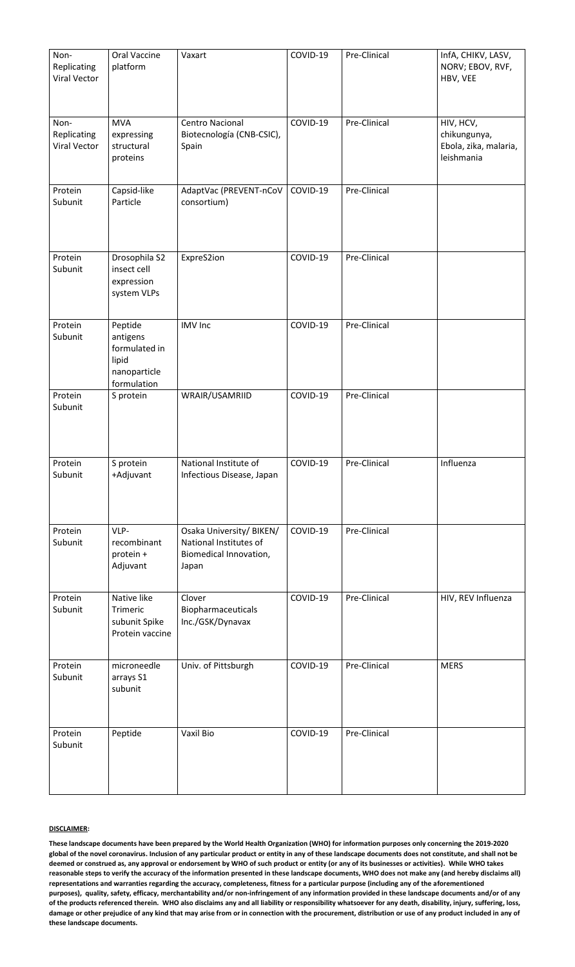| Non-<br>Replicating<br><b>Viral Vector</b> | <b>Oral Vaccine</b><br>platform                                              | Vaxart                                                                                | COVID-19 | Pre-Clinical | InfA, CHIKV, LASV,<br>NORV; EBOV, RVF,<br>HBV, VEE               |
|--------------------------------------------|------------------------------------------------------------------------------|---------------------------------------------------------------------------------------|----------|--------------|------------------------------------------------------------------|
| Non-<br>Replicating<br><b>Viral Vector</b> | <b>MVA</b><br>expressing<br>structural<br>proteins                           | <b>Centro Nacional</b><br>Biotecnología (CNB-CSIC),<br>Spain                          | COVID-19 | Pre-Clinical | HIV, HCV,<br>chikungunya,<br>Ebola, zika, malaria,<br>leishmania |
| Protein<br>Subunit                         | Capsid-like<br>Particle                                                      | AdaptVac (PREVENT-nCoV<br>consortium)                                                 | COVID-19 | Pre-Clinical |                                                                  |
| Protein<br>Subunit                         | Drosophila S2<br>insect cell<br>expression<br>system VLPs                    | ExpreS2ion                                                                            | COVID-19 | Pre-Clinical |                                                                  |
| Protein<br>Subunit                         | Peptide<br>antigens<br>formulated in<br>lipid<br>nanoparticle<br>formulation | <b>IMV</b> Inc                                                                        | COVID-19 | Pre-Clinical |                                                                  |
| Protein<br>Subunit                         | S protein                                                                    | WRAIR/USAMRIID                                                                        | COVID-19 | Pre-Clinical |                                                                  |
| Protein<br>Subunit                         | S protein<br>+Adjuvant                                                       | National Institute of<br>Infectious Disease, Japan                                    | COVID-19 | Pre-Clinical | Influenza                                                        |
| Protein<br>Subunit                         | VLP-<br>recombinant<br>protein +<br>Adjuvant                                 | Osaka University/ BIKEN/<br>National Institutes of<br>Biomedical Innovation,<br>Japan | COVID-19 | Pre-Clinical |                                                                  |
| Protein<br>Subunit                         | Native like<br><b>Trimeric</b><br>subunit Spike<br>Protein vaccine           | Clover<br>Biopharmaceuticals<br>Inc./GSK/Dynavax                                      | COVID-19 | Pre-Clinical | HIV, REV Influenza                                               |
| Protein<br>Subunit                         | microneedle<br>arrays S1<br>subunit                                          | Univ. of Pittsburgh                                                                   | COVID-19 | Pre-Clinical | <b>MERS</b>                                                      |
| Protein<br>Subunit                         | Peptide                                                                      | Vaxil Bio                                                                             | COVID-19 | Pre-Clinical |                                                                  |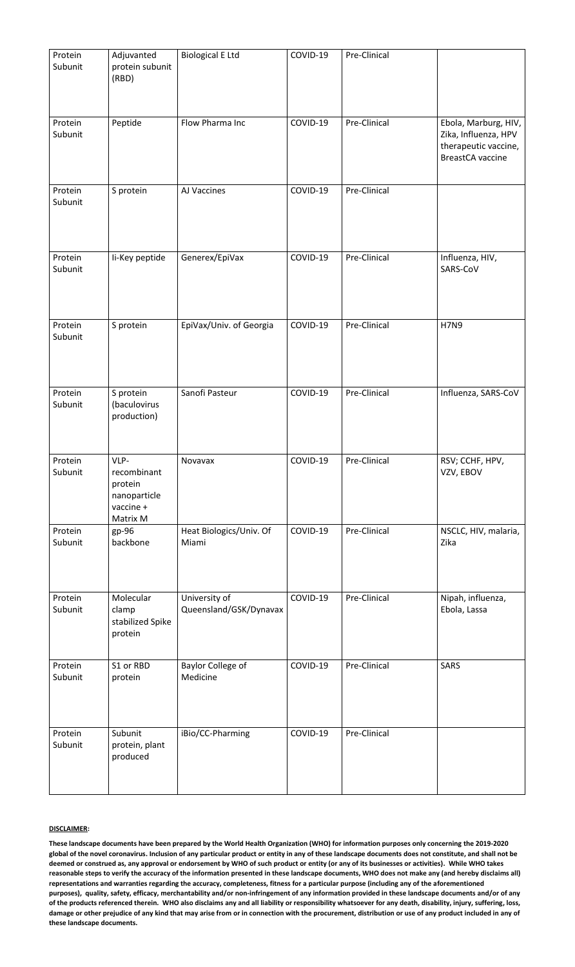| Protein<br>Subunit | Adjuvanted<br>protein subunit<br>(RBD)                                  | <b>Biological E Ltd</b>                 | COVID-19 | Pre-Clinical |                                                                                                 |
|--------------------|-------------------------------------------------------------------------|-----------------------------------------|----------|--------------|-------------------------------------------------------------------------------------------------|
| Protein<br>Subunit | Peptide                                                                 | Flow Pharma Inc                         | COVID-19 | Pre-Clinical | Ebola, Marburg, HIV,<br>Zika, Influenza, HPV<br>therapeutic vaccine,<br><b>BreastCA</b> vaccine |
| Protein<br>Subunit | S protein                                                               | AJ Vaccines                             | COVID-19 | Pre-Clinical |                                                                                                 |
| Protein<br>Subunit | li-Key peptide                                                          | Generex/EpiVax                          | COVID-19 | Pre-Clinical | Influenza, HIV,<br>SARS-CoV                                                                     |
| Protein<br>Subunit | S protein                                                               | EpiVax/Univ. of Georgia                 | COVID-19 | Pre-Clinical | <b>H7N9</b>                                                                                     |
| Protein<br>Subunit | S protein<br>(baculovirus<br>production)                                | Sanofi Pasteur                          | COVID-19 | Pre-Clinical | Influenza, SARS-CoV                                                                             |
| Protein<br>Subunit | VLP-<br>recombinant<br>protein<br>nanoparticle<br>vaccine +<br>Matrix M | Novavax                                 | COVID-19 | Pre-Clinical | RSV; CCHF, HPV,<br>VZV, EBOV                                                                    |
| Protein<br>Subunit | $gp-96$<br>backbone                                                     | Heat Biologics/Univ. Of<br>Miami        | COVID-19 | Pre-Clinical | NSCLC, HIV, malaria,<br>Zika                                                                    |
| Protein<br>Subunit | Molecular<br>clamp<br>stabilized Spike<br>protein                       | University of<br>Queensland/GSK/Dynavax | COVID-19 | Pre-Clinical | Nipah, influenza,<br>Ebola, Lassa                                                               |
| Protein<br>Subunit | S1 or RBD<br>protein                                                    | <b>Baylor College of</b><br>Medicine    | COVID-19 | Pre-Clinical | SARS                                                                                            |
| Protein<br>Subunit | Subunit<br>protein, plant<br>produced                                   | iBio/CC-Pharming                        | COVID-19 | Pre-Clinical |                                                                                                 |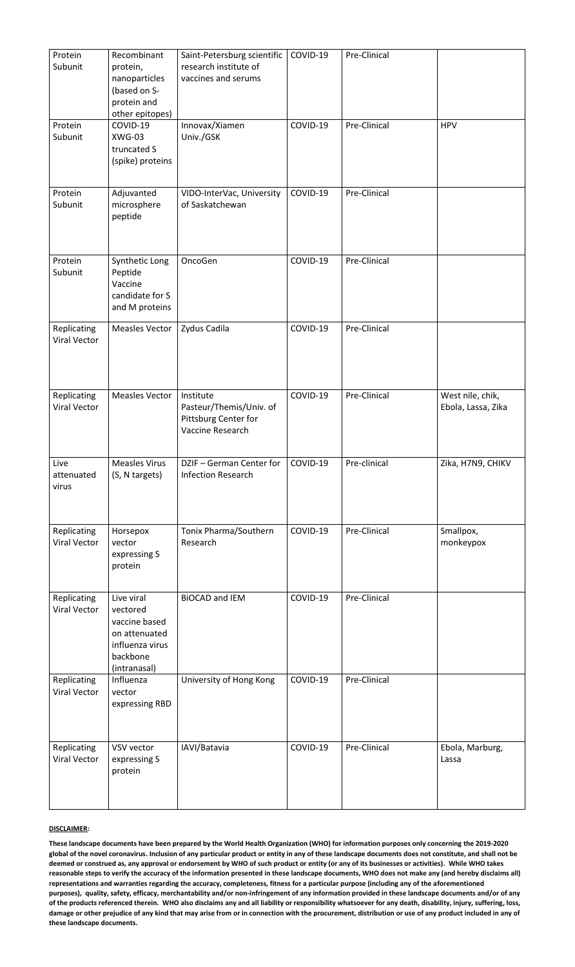| Protein<br>Subunit                        | Recombinant<br>protein,<br>nanoparticles<br>(based on S-<br>protein and<br>other epitopes)              | Saint-Petersburg scientific<br>research institute of<br>vaccines and serums             | COVID-19 | Pre-Clinical |                                        |
|-------------------------------------------|---------------------------------------------------------------------------------------------------------|-----------------------------------------------------------------------------------------|----------|--------------|----------------------------------------|
| Protein<br>Subunit                        | COVID-19<br>XWG-03<br>truncated S<br>(spike) proteins                                                   | Innovax/Xiamen<br>Univ./GSK                                                             | COVID-19 | Pre-Clinical | <b>HPV</b>                             |
| Protein<br>Subunit                        | Adjuvanted<br>microsphere<br>peptide                                                                    | VIDO-InterVac, University<br>of Saskatchewan                                            | COVID-19 | Pre-Clinical |                                        |
| Protein<br>Subunit                        | Synthetic Long<br>Peptide<br>Vaccine<br>candidate for S<br>and M proteins                               | OncoGen                                                                                 | COVID-19 | Pre-Clinical |                                        |
| <b>Replicating</b><br><b>Viral Vector</b> | <b>Measles Vector</b>                                                                                   | Zydus Cadila                                                                            | COVID-19 | Pre-Clinical |                                        |
| <b>Replicating</b><br><b>Viral Vector</b> | <b>Measles Vector</b>                                                                                   | Institute<br>Pasteur/Themis/Univ. of<br>Pittsburg Center for<br><b>Vaccine Research</b> | COVID-19 | Pre-Clinical | West nile, chik,<br>Ebola, Lassa, Zika |
| Live<br>attenuated<br>virus               | <b>Measles Virus</b><br>(S, N targets)                                                                  | DZIF - German Center for<br><b>Infection Research</b>                                   | COVID-19 | Pre-clinical | Zika, H7N9, CHIKV                      |
| <b>Replicating</b><br><b>Viral Vector</b> | Horsepox<br>vector<br>expressing S<br>protein                                                           | Tonix Pharma/Southern<br>Research                                                       | COVID-19 | Pre-Clinical | Smallpox,<br>monkeypox                 |
| <b>Replicating</b><br><b>Viral Vector</b> | Live viral<br>vectored<br>vaccine based<br>on attenuated<br>influenza virus<br>backbone<br>(intranasal) | <b>BIOCAD and IEM</b>                                                                   | COVID-19 | Pre-Clinical |                                        |
| <b>Replicating</b><br><b>Viral Vector</b> | Influenza<br>vector<br>expressing RBD                                                                   | University of Hong Kong                                                                 | COVID-19 | Pre-Clinical |                                        |
| <b>Replicating</b><br><b>Viral Vector</b> | VSV vector<br>expressing S<br>protein                                                                   | IAVI/Batavia                                                                            | COVID-19 | Pre-Clinical | Ebola, Marburg,<br>Lassa               |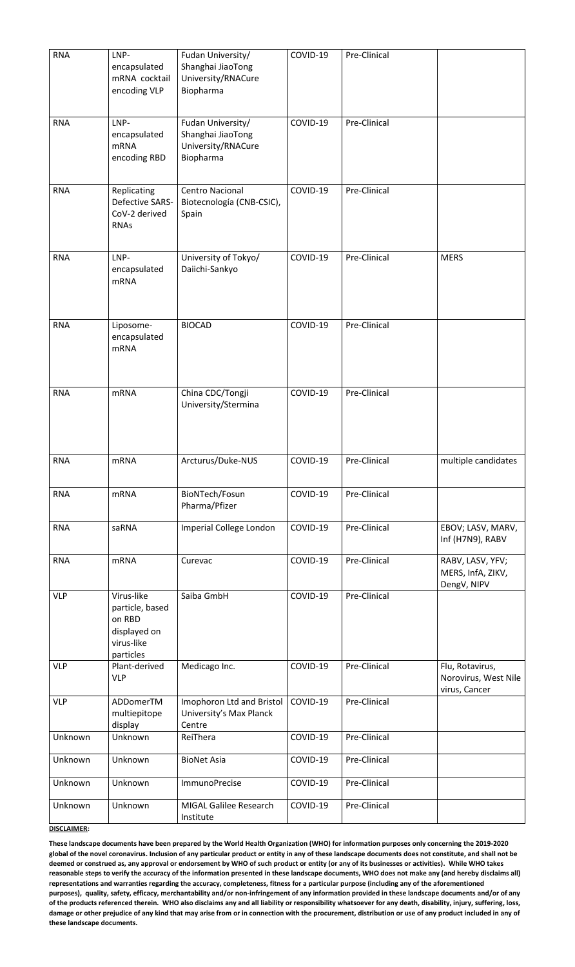| <b>RNA</b>               | LNP-<br>encapsulated<br>mRNA cocktail<br>encoding VLP                        | Fudan University/<br>Shanghai JiaoTong<br>University/RNACure<br>Biopharma | COVID-19             | Pre-Clinical                 |                                                      |
|--------------------------|------------------------------------------------------------------------------|---------------------------------------------------------------------------|----------------------|------------------------------|------------------------------------------------------|
| <b>RNA</b>               | LNP-<br>encapsulated<br><b>mRNA</b><br>encoding RBD                          | Fudan University/<br>Shanghai JiaoTong<br>University/RNACure<br>Biopharma | COVID-19             | Pre-Clinical                 |                                                      |
| <b>RNA</b>               | <b>Replicating</b><br><b>Defective SARS-</b><br>CoV-2 derived<br><b>RNAs</b> | <b>Centro Nacional</b><br>Biotecnología (CNB-CSIC),<br>Spain              | COVID-19             | Pre-Clinical                 |                                                      |
| <b>RNA</b>               | LNP-<br>encapsulated<br><b>mRNA</b>                                          | University of Tokyo/<br>Daiichi-Sankyo                                    | COVID-19             | Pre-Clinical                 | <b>MERS</b>                                          |
| <b>RNA</b>               | Liposome-<br>encapsulated<br><b>mRNA</b>                                     | <b>BIOCAD</b>                                                             | COVID-19             | Pre-Clinical                 |                                                      |
| <b>RNA</b>               | <b>mRNA</b>                                                                  | China CDC/Tongji<br>University/Stermina                                   | COVID-19             | Pre-Clinical                 |                                                      |
| <b>RNA</b>               | <b>mRNA</b>                                                                  | Arcturus/Duke-NUS                                                         | COVID-19             | Pre-Clinical                 | multiple candidates                                  |
| <b>RNA</b>               | <b>mRNA</b>                                                                  | BioNTech/Fosun<br>Pharma/Pfizer                                           | COVID-19             | Pre-Clinical                 |                                                      |
| <b>RNA</b>               | saRNA                                                                        | Imperial College London                                                   | COVID-19             | Pre-Clinical                 | EBOV; LASV, MARV,<br>Inf (H7N9), RABV                |
| <b>RNA</b><br><b>VLP</b> | <b>mRNA</b><br>Virus-like<br>particle, based                                 | Curevac<br>Saiba GmbH                                                     | COVID-19<br>COVID-19 | Pre-Clinical<br>Pre-Clinical | RABV, LASV, YFV;<br>MERS, InfA, ZIKV,<br>DengV, NIPV |
|                          | on RBD<br>displayed on<br>virus-like<br>particles                            |                                                                           |                      |                              |                                                      |
| <b>VLP</b>               | Plant-derived<br><b>VLP</b>                                                  | Medicago Inc.                                                             | COVID-19             | Pre-Clinical                 | Flu, Rotavirus,<br>Norovirus, West Nile              |
| <b>VLP</b>               | ADDomerTM<br>multiepitope<br>display                                         | Imophoron Ltd and Bristol<br>University's Max Planck<br>Centre            | COVID-19             | Pre-Clinical                 | virus, Cancer                                        |
| Unknown                  | Unknown                                                                      | ReiThera                                                                  | COVID-19             | Pre-Clinical                 |                                                      |
| Unknown                  | Unknown                                                                      | <b>BioNet Asia</b>                                                        | COVID-19             | Pre-Clinical                 |                                                      |
| Unknown                  | Unknown                                                                      | <b>ImmunoPrecise</b>                                                      | COVID-19             | Pre-Clinical                 |                                                      |
| Unknown                  | Unknown                                                                      | <b>MIGAL Galilee Research</b><br>Institute                                | COVID-19             | Pre-Clinical                 |                                                      |